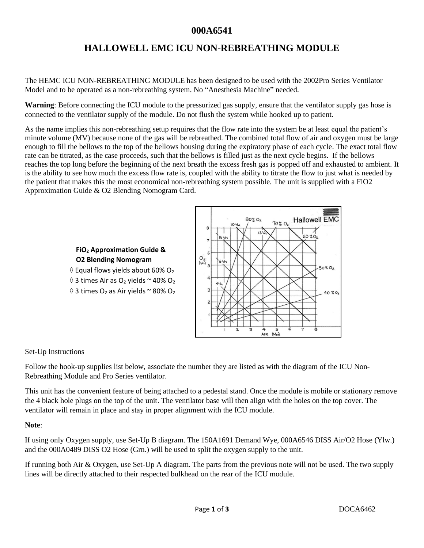# **HALLOWELL EMC ICU NON-REBREATHING MODULE**

The HEMC ICU NON-REBREATHING MODULE has been designed to be used with the 2002Pro Series Ventilator Model and to be operated as a non-rebreathing system. No "Anesthesia Machine" needed.

**Warning**: Before connecting the ICU module to the pressurized gas supply, ensure that the ventilator supply gas hose is connected to the ventilator supply of the module. Do not flush the system while hooked up to patient.

As the name implies this non-rebreathing setup requires that the flow rate into the system be at least equal the patient's minute volume (MV) because none of the gas will be rebreathed. The combined total flow of air and oxygen must be large enough to fill the bellows to the top of the bellows housing during the expiratory phase of each cycle. The exact total flow rate can be titrated, as the case proceeds, such that the bellows is filled just as the next cycle begins. If the bellows reaches the top long before the beginning of the next breath the excess fresh gas is popped off and exhausted to ambient. It is the ability to see how much the excess flow rate is, coupled with the ability to titrate the flow to just what is needed by the patient that makes this the most economical non-rebreathing system possible. The unit is supplied with a FiO2 Approximation Guide & O2 Blending Nomogram Card.

### **FiO<sup>2</sup> Approximation Guide & O2 Blending Nomogram**

- $\diamond$  Equal flows yields about 60% O<sub>2</sub>
- $\Diamond$  3 times Air as O<sub>2</sub> yields  $\sim$  40% O<sub>2</sub>
- $\Diamond$  3 times O<sub>2</sub> as Air yields ~ 80% O<sub>2</sub>



#### Set-Up Instructions

Follow the hook-up supplies list below, associate the number they are listed as with the diagram of the ICU Non-Rebreathing Module and Pro Series ventilator.

This unit has the convenient feature of being attached to a pedestal stand. Once the module is mobile or stationary remove the 4 black hole plugs on the top of the unit. The ventilator base will then align with the holes on the top cover. The ventilator will remain in place and stay in proper alignment with the ICU module.

#### **Note**:

If using only Oxygen supply, use Set-Up B diagram. The 150A1691 Demand Wye, 000A6546 DISS Air/O2 Hose (Ylw.) and the 000A0489 DISS O2 Hose (Grn.) will be used to split the oxygen supply to the unit.

If running both Air & Oxygen, use Set-Up A diagram. The parts from the previous note will not be used. The two supply lines will be directly attached to their respected bulkhead on the rear of the ICU module.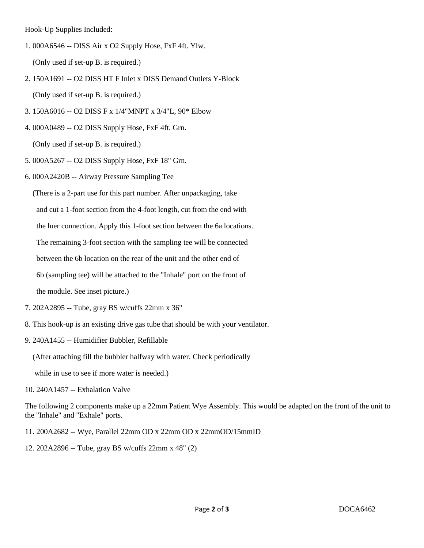Hook-Up Supplies Included:

1. 000A6546 -- DISS Air x O2 Supply Hose, FxF 4ft. Ylw.

(Only used if set-up B. is required.)

- 2. 150A1691 -- O2 DISS HT F Inlet x DISS Demand Outlets Y-Block (Only used if set-up B. is required.)
- 3. 150A6016 -- O2 DISS F x 1/4"MNPT x 3/4"L, 90\* Elbow
- 4. 000A0489 -- O2 DISS Supply Hose, FxF 4ft. Grn.

(Only used if set-up B. is required.)

5. 000A5267 -- O2 DISS Supply Hose, FxF 18" Grn.

6. 000A2420B -- Airway Pressure Sampling Tee

(There is a 2-part use for this part number. After unpackaging, take

and cut a 1-foot section from the 4-foot length, cut from the end with

the luer connection. Apply this 1-foot section between the 6a locations.

The remaining 3-foot section with the sampling tee will be connected

between the 6b location on the rear of the unit and the other end of

6b (sampling tee) will be attached to the "Inhale" port on the front of

the module. See inset picture.)

- 7. 202A2895 -- Tube, gray BS w/cuffs 22mm x 36"
- 8. This hook-up is an existing drive gas tube that should be with your ventilator.
- 9. 240A1455 -- Humidifier Bubbler, Refillable

(After attaching fill the bubbler halfway with water. Check periodically

while in use to see if more water is needed.)

10. 240A1457 -- Exhalation Valve

The following 2 components make up a 22mm Patient Wye Assembly. This would be adapted on the front of the unit to the "Inhale" and "Exhale" ports.

11. 200A2682 -- Wye, Parallel 22mm OD x 22mm OD x 22mmOD/15mmID

12. 202A2896 -- Tube, gray BS w/cuffs 22mm x 48" (2)